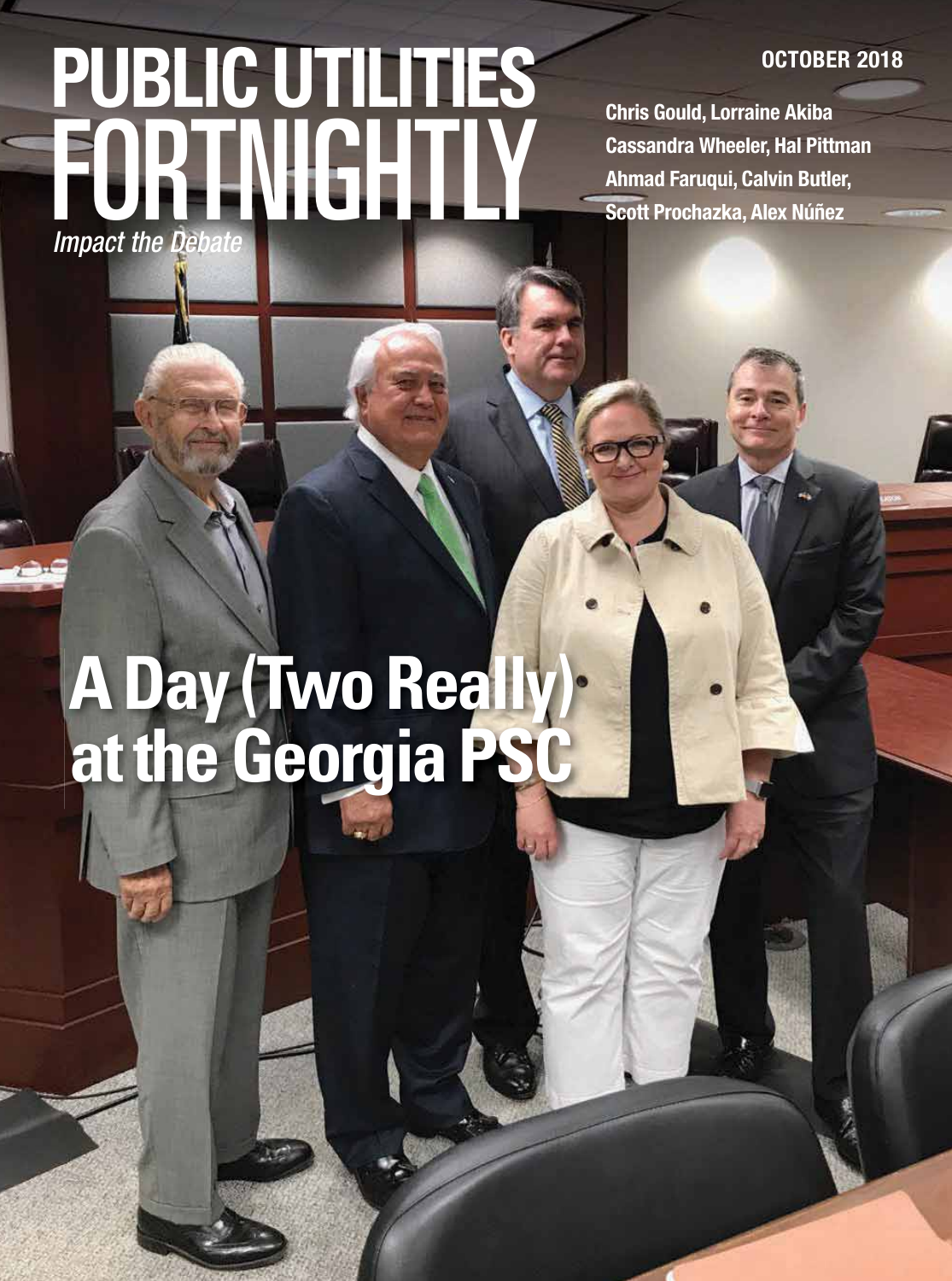# FORTNIGHTLY **PUBLIC UTILITIES Impact the Debate**

**OCTOBER 2018**

**Chris Gould, Lorraine Akiba Cassandra Wheeler, Hal Pittman Ahmad Faruqui, Calvin Butler, Scott Prochazka, Alex Núñez**

# **A Day (Two Really) at the Georgia PSC**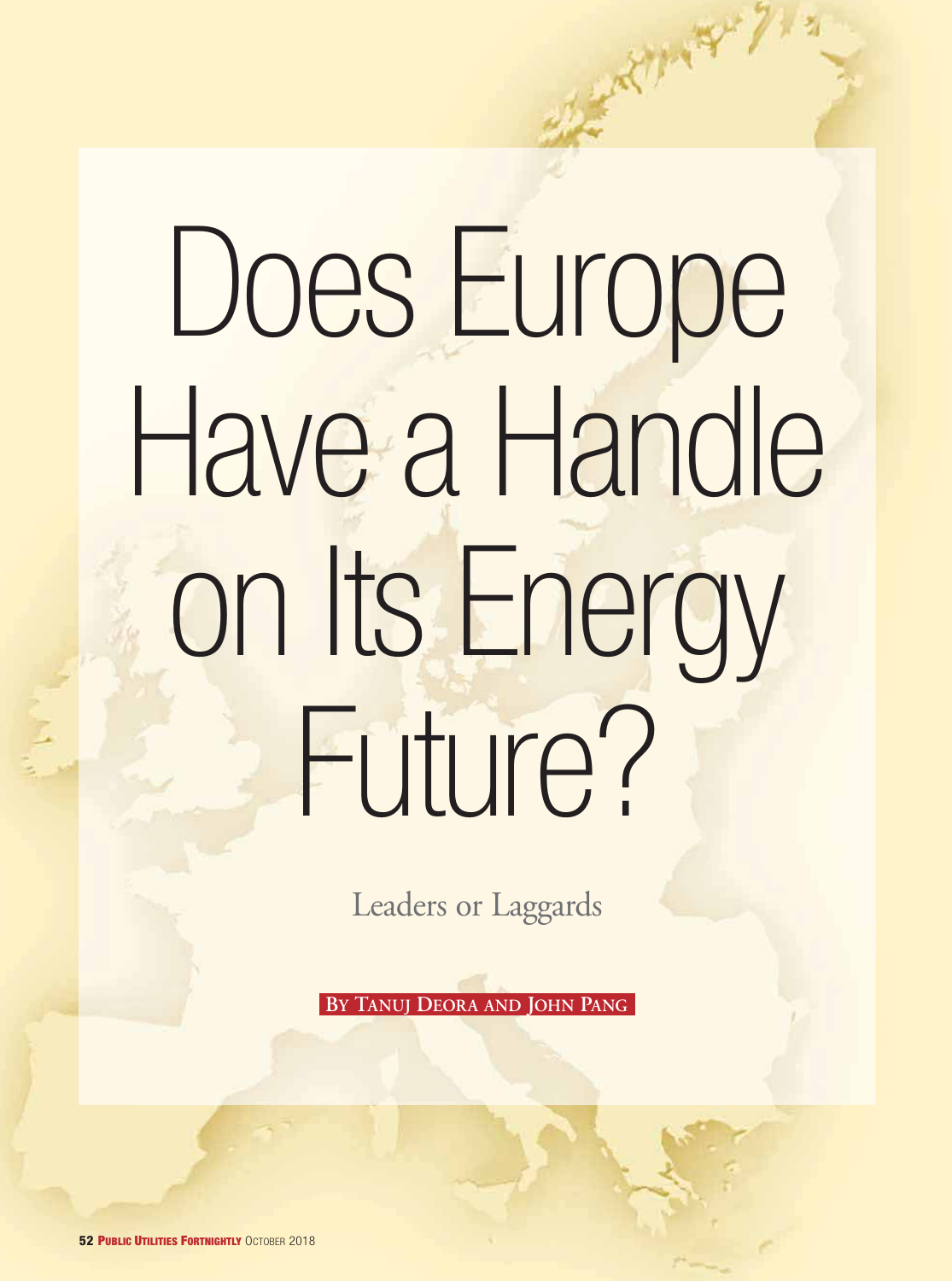# Does Europe Have a Handle on Its Energy Future?

A Bank Hard

Leaders or Laggards

**BY TANUJ DEORA AND JOHN PANG**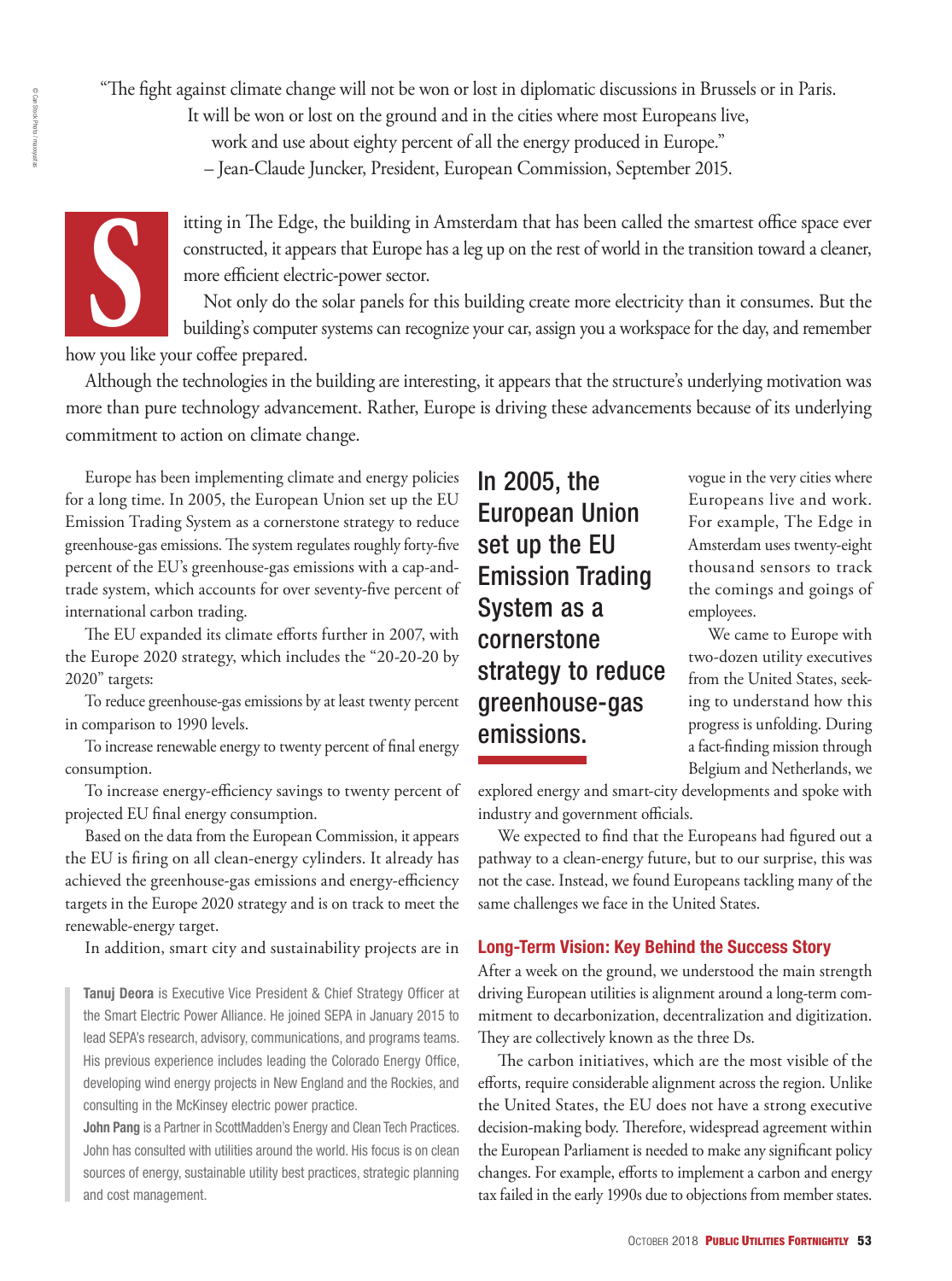"The fight against climate change will not be won or lost in diplomatic discussions in Brussels or in Paris.<br>It will be won or lost on the ground and in the cities where most Europeans live,<br>work and use about eighty perce

It will be won or lost on the ground and in the cities where most Europeans live,

work and use about eighty percent of all the energy produced in Europe."

– Jean-Claude Juncker, President, European Commission, September 2015.



itting in The Edge, the building in Amsterdam that has been called the smartest office space ever constructed, it appears that Europe has a leg up on the rest of world in the transition toward a cleaner, more efficient electric-power sector.

Not only do the solar panels for this building create more electricity than it consumes. But the building's computer systems can recognize your car, assign you a workspace for the day, and remember

how you like your coffee prepared.

Although the technologies in the building are interesting, it appears that the structure's underlying motivation was more than pure technology advancement. Rather, Europe is driving these advancements because of its underlying commitment to action on climate change.

Europe has been implementing climate and energy policies for a long time. In 2005, the European Union set up the EU Emission Trading System as a cornerstone strategy to reduce greenhouse-gas emissions. The system regulates roughly forty-five percent of the EU's greenhouse-gas emissions with a cap-andtrade system, which accounts for over seventy-five percent of international carbon trading.

The EU expanded its climate efforts further in 2007, with the Europe 2020 strategy, which includes the "20-20-20 by 2020" targets:

To reduce greenhouse-gas emissions by at least twenty percent in comparison to 1990 levels.

To increase renewable energy to twenty percent of final energy consumption.

To increase energy-efficiency savings to twenty percent of projected EU final energy consumption.

Based on the data from the European Commission, it appears the EU is firing on all clean-energy cylinders. It already has achieved the greenhouse-gas emissions and energy-efficiency targets in the Europe 2020 strategy and is on track to meet the renewable-energy target.

In addition, smart city and sustainability projects are in

**Tanuj Deora** is Executive Vice President & Chief Strategy Officer at the Smart Electric Power Alliance. He joined SEPA in January 2015 to lead SEPA's research, advisory, communications, and programs teams. His previous experience includes leading the Colorado Energy Office, developing wind energy projects in New England and the Rockies, and consulting in the McKinsey electric power practice.

**John Pang** is a Partner in ScottMadden's Energy and Clean Tech Practices. John has consulted with utilities around the world. His focus is on clean sources of energy, sustainable utility best practices, strategic planning and cost management.

In 2005, the European Union set up the EU Emission Trading System as a cornerstone strategy to reduce greenhouse-gas emissions.

vogue in the very cities where Europeans live and work. For example, The Edge in Amsterdam uses twenty-eight thousand sensors to track the comings and goings of employees.

We came to Europe with two-dozen utility executives from the United States, seeking to understand how this progress is unfolding. During a fact-finding mission through Belgium and Netherlands, we

explored energy and smart-city developments and spoke with industry and government officials.

We expected to find that the Europeans had figured out a pathway to a clean-energy future, but to our surprise, this was not the case. Instead, we found Europeans tackling many of the same challenges we face in the United States.

### **Long-Term Vision: Key Behind the Success Story**

 After a week on the ground, we understood the main strength driving European utilities is alignment around a long-term commitment to decarbonization, decentralization and digitization. They are collectively known as the three Ds.

The carbon initiatives, which are the most visible of the efforts, require considerable alignment across the region. Unlike the United States, the EU does not have a strong executive decision-making body. Therefore, widespread agreement within the European Parliament is needed to make any significant policy changes. For example, efforts to implement a carbon and energy tax failed in the early 1990s due to objections from member states.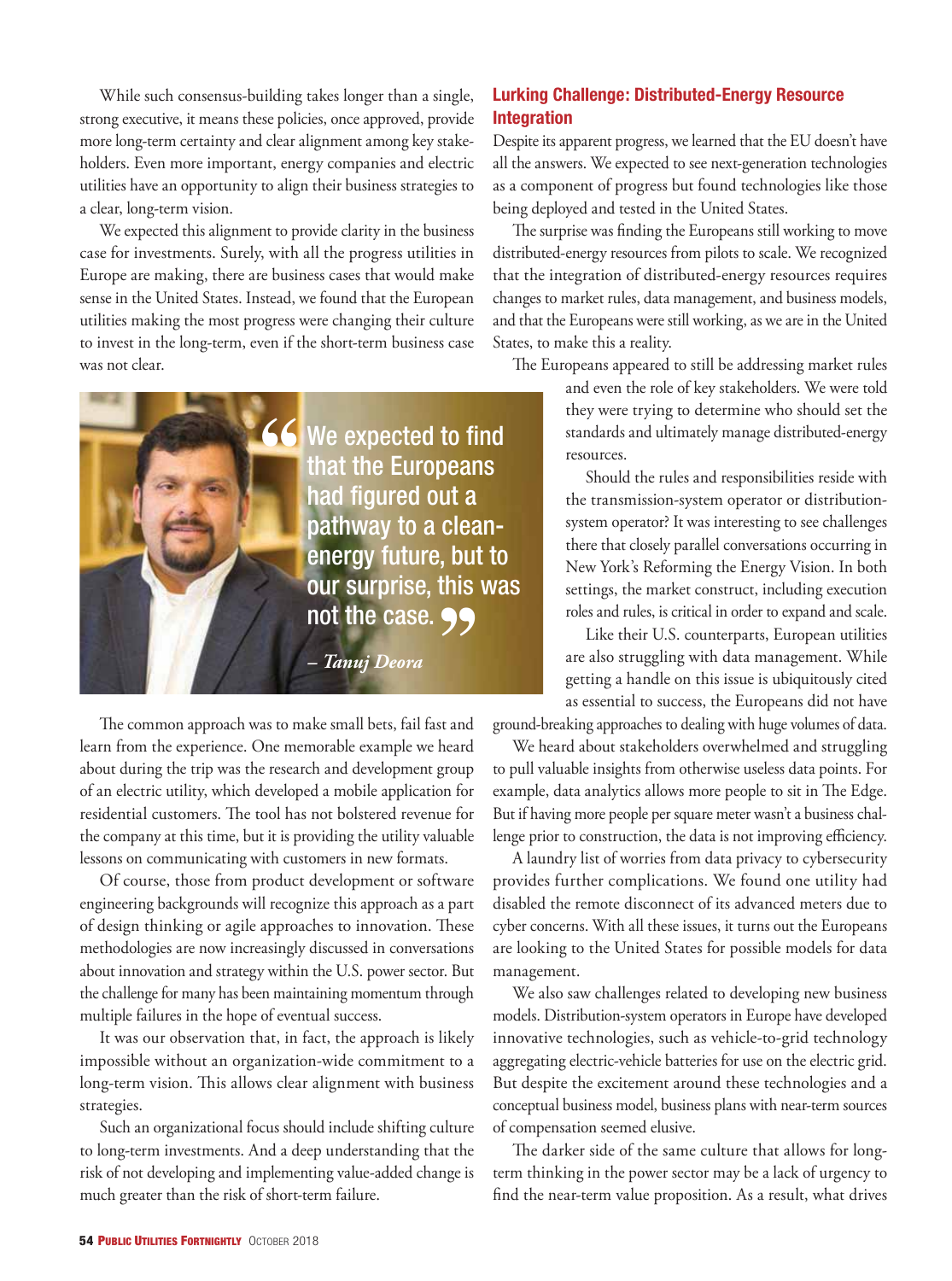While such consensus-building takes longer than a single, strong executive, it means these policies, once approved, provide more long-term certainty and clear alignment among key stakeholders. Even more important, energy companies and electric utilities have an opportunity to align their business strategies to a clear, long-term vision.

We expected this alignment to provide clarity in the business case for investments. Surely, with all the progress utilities in Europe are making, there are business cases that would make sense in the United States. Instead, we found that the European utilities making the most progress were changing their culture to invest in the long-term, even if the short-term business case was not clear.



The common approach was to make small bets, fail fast and learn from the experience. One memorable example we heard about during the trip was the research and development group of an electric utility, which developed a mobile application for residential customers. The tool has not bolstered revenue for the company at this time, but it is providing the utility valuable lessons on communicating with customers in new formats.

Of course, those from product development or software engineering backgrounds will recognize this approach as a part of design thinking or agile approaches to innovation. These methodologies are now increasingly discussed in conversations about innovation and strategy within the U.S. power sector. But the challenge for many has been maintaining momentum through multiple failures in the hope of eventual success.

It was our observation that, in fact, the approach is likely impossible without an organization-wide commitment to a long-term vision. This allows clear alignment with business strategies.

Such an organizational focus should include shifting culture to long-term investments. And a deep understanding that the risk of not developing and implementing value-added change is much greater than the risk of short-term failure.

# **Lurking Challenge: Distributed-Energy Resource Integration**

Despite its apparent progress, we learned that the EU doesn't have all the answers. We expected to see next-generation technologies as a component of progress but found technologies like those being deployed and tested in the United States.

The surprise was finding the Europeans still working to move distributed-energy resources from pilots to scale. We recognized that the integration of distributed-energy resources requires changes to market rules, data management, and business models, and that the Europeans were still working, as we are in the United States, to make this a reality.

The Europeans appeared to still be addressing market rules

and even the role of key stakeholders. We were told they were trying to determine who should set the standards and ultimately manage distributed-energy resources.

Should the rules and responsibilities reside with the transmission-system operator or distributionsystem operator? It was interesting to see challenges there that closely parallel conversations occurring in New York's Reforming the Energy Vision. In both settings, the market construct, including execution roles and rules, is critical in order to expand and scale.

Like their U.S. counterparts, European utilities are also struggling with data management. While getting a handle on this issue is ubiquitously cited as essential to success, the Europeans did not have

ground-breaking approaches to dealing with huge volumes of data.

We heard about stakeholders overwhelmed and struggling to pull valuable insights from otherwise useless data points. For example, data analytics allows more people to sit in The Edge. But if having more people per square meter wasn't a business challenge prior to construction, the data is not improving efficiency.

A laundry list of worries from data privacy to cybersecurity provides further complications. We found one utility had disabled the remote disconnect of its advanced meters due to cyber concerns. With all these issues, it turns out the Europeans are looking to the United States for possible models for data management.

We also saw challenges related to developing new business models. Distribution-system operators in Europe have developed innovative technologies, such as vehicle-to-grid technology aggregating electric-vehicle batteries for use on the electric grid. But despite the excitement around these technologies and a conceptual business model, business plans with near-term sources of compensation seemed elusive.

The darker side of the same culture that allows for longterm thinking in the power sector may be a lack of urgency to find the near-term value proposition. As a result, what drives